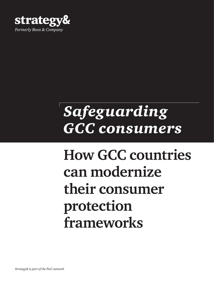

# *Safeguarding GCC consumers*

# **How GCC countries can modernize their consumer protection frameworks**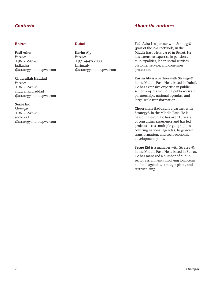#### Beirut

**Fadi Adra** *Partner*  +961-1-985-655 [fadi.adra](mailto:fadi.adra%40strategyand.ae.pwc.com?subject=) [@strategyand.ae.pwc.com](mailto:fadi.adra%40strategyand.ae.pwc.com?subject=)

#### **Chucrallah Haddad**

*Partner*  +961-1-985-655 [chucrallah.haddad](mailto:chucrallah.haddad%40strategyand.ae.pwc.com?subject=) [@strategyand.ae.pwc.com](mailto:chucrallah.haddad%40strategyand.ae.pwc.com?subject=)

#### **Serge Eid**

*Manager* +961-1-985-655 [serge.eid](mailto:serge.eid%40strategyand.ae.pwc.com?subject=) [@strategyand.ae.pwc.com](mailto:serge.eid%40strategyand.ae.pwc.com?subject=)

#### **Dubai**

**Karim Aly**  *Partner*  +971-4-436-3000 [karim.aly](mailto:karim.aly%40strategyand.ae.pwc.com?subject=)  [@strategyand.ae.pwc.com](mailto:karim.aly%40strategyand.ae.pwc.com?subject=) 

#### *Contacts About the authors*

**Fadi Adra** is a partner with Strategy& (part of the PwC network) in the Middle East. He is based in Beirut. He has extensive expertise in pensions, municipalities, labor, social services, customer service, and consumer protection.

**Karim Aly** is a partner with Strategy& in the Middle East. He is based in Dubai. He has extensive expertise in publicsector projects including public–private partnerships, national agendas, and large-scale transformation.

**Chucrallah Haddad** is a partner with Strategy& in the Middle East. He is based in Beirut. He has over 15 years of consulting experience and has led projects across multiple geographies covering national agendas, large-scale transformation, and socioeconomic development plans.

**Serge Eid** is a manager with Strategy& in the Middle East. He is based in Beirut. He has managed a number of publicsector assignments involving long-term national agendas, strategic plans, and restructuring.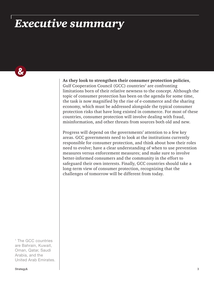### *Executive summary*

 $\boldsymbol{\alpha}$ 

**As they look to strengthen their consumer protection policies**, Gulf Cooperation Council (GCC) countries<sup>1</sup> are confronting limitations born of their relative newness to the concept. Although the topic of consumer protection has been on the agenda for some time, the task is now magnified by the rise of e-commerce and the sharing economy, which must be addressed alongside the typical consumer protection risks that have long existed in commerce. For most of these countries, consumer protection will involve dealing with fraud, misinformation, and other threats from sources both old and new.

Progress will depend on the governments' attention to a few key areas. GCC governments need to look at the institutions currently responsible for consumer protection, and think about how their roles need to evolve; have a clear understanding of when to use prevention measures versus enforcement measures; and make sure to involve better-informed consumers and the community in the effort to safeguard their own interests. Finally, GCC countries should take a long-term view of consumer protection, recognizing that the challenges of tomorrow will be different from today.

1 The GCC countries are Bahrain, Kuwait, Oman, Qatar, Saudi Arabia, and the United Arab Emirates.

Strategy& 3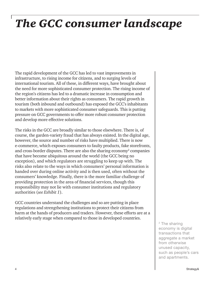## *The GCC consumer landscape*

The rapid development of the GCC has led to vast improvements in infrastructure, to rising income for citizens, and to surging levels of international tourism. All of these, in different ways, have brought about the need for more sophisticated consumer protection. The rising income of the region's citizens has led to a dramatic increase in consumption and better information about their rights as consumers. The rapid growth in tourism (both inbound and outbound) has exposed the GCC's inhabitants to markets with more sophisticated consumer safeguards. This is putting pressure on GCC governments to offer more robust consumer protection and develop more effective solutions.

The risks in the GCC are broadly similar to those elsewhere. There is, of course, the garden-variety fraud that has always existed. In the digital age, however, the source and number of risks have multiplied. There is now e-commerce, which exposes consumers to faulty products, fake storefronts, and cross-border disputes. There are also the sharing economy<sup>2</sup> companies that have become ubiquitous around the world (the GCC being no exception), and which regulators are struggling to keep up with. The risks also relate to the ways in which consumers' personal information is handed over during online activity and is then used, often without the consumers' knowledge. Finally, there is the more familiar challenge of providing protection in the area of financial services, though this responsibility may not lie with consumer institutions and regulatory authorities (*see Exhibit 1*).

GCC countries understand the challenges and so are putting in place regulations and strengthening institutions to protect their citizens from harm at the hands of producers and traders. However, these efforts are at a relatively early stage when compared to those in developed countries.

<sup>2</sup> The sharing economy is digital transactions that aggregate a market from otherwise unused capacity, such as people's cars and apartments.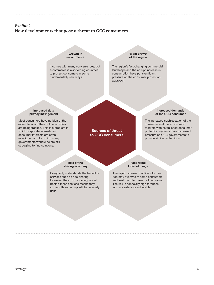#### *Exhibit 1* **New developments that pose a threat to GCC consumers**

Growth in e-commerce

It comes with many conveniences, but e-commerce is also forcing countries to protect consumers in some fundamentally new ways.

Rapid growth of the region

The region's fast-changing commercial landscape and the abrupt increase in consumption have put significant pressure on the consumer protection approach.

#### Increased data privacy infringement

Most consumers have no idea of the extent to which their online activities are being tracked. This is a problem in which corporate interests and consumer interests are often misaligned and for which many governments worldwide are still struggling to find solutions.

#### Sources of threat to GCC consumers

#### Increased demands of the GCC consumer

The increased sophistication of the consumer and the exposure to markets with established consumer protection systems have increased pressure on GCC governments to provide similar protections.

Rise of the sharing economy

Everybody understands the benefit of services such as ride-sharing. However, the crowdsourcing model behind these services means they come with some unpredictable safety risks.

Fast-rising Internet usage

The rapid increase of online information may overwhelm some consumers and lead them to make bad decisions. The risk is especially high for those who are elderly or vulnerable.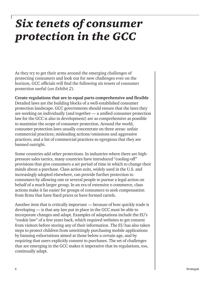### *Six tenets of consumer protection in the GCC*

As they try to get their arms around the emerging challenges of protecting consumers and look out for new challenges ever on the horizon, GCC officials will find the following six tenets of consumer protection useful (*see Exhibit 2*).

**Create regulations that are in equal parts comprehensive and flexible** Detailed laws are the building blocks of a well-established consumer protection landscape. GCC governments should ensure that the laws they are working on individually (and together — a unified consumer protection law for the GCC is also in development) are as comprehensive as possible to maximize the scope of consumer protection. Around the world, consumer protection laws usually concentrate on three areas: unfair commercial practices; misleading actions/omissions and aggressive practices; and a list of commercial practices so egregious that they are banned outright.

Some countries add other protections. In industries where there are highpressure sales tactics, many countries have introduced "cooling-off" provisions that give consumers a set period of time in which to change their minds about a purchase. Class action suits, widely used in the U.S. and increasingly adopted elsewhere, can provide further protection to consumers by allowing one or several people to pursue a legal action on behalf of a much larger group. In an era of extensive e-commerce, class actions make it far easier for groups of consumers to seek compensation from firms that have fixed prices or have formed cartels.

Another item that is critically important — because of how quickly trade is developing — is that any law put in place in the GCC must be able to incorporate changes and adapt. Examples of adaptations include the EU's "cookie law" of a few years back, which required websites to get consent from visitors before storing any of their information. The EU has also taken steps to protect children from unwittingly purchasing mobile applications by banning exhortations aimed at those below a certain age, and by requiring that users explicitly consent to purchases. The set of challenges that are emerging in the GCC makes it imperative that its regulations, too, continually adapt.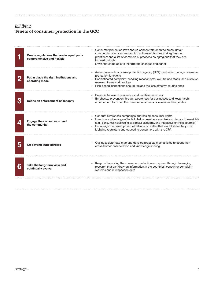### *Exhibit 2* **Tenets of consumer protection in the GCC**

. . . . .

|   | Create regulations that are in equal parts<br>comprehensive and flexible | Consumer protection laws should concentrate on three areas: unfair<br>commercial practices; misleading actions/omissions and aggressive<br>practices; and a list of commercial practices so egregious that they are<br>banned outright<br>Laws should be able to incorporate changes and adapt                                                                                 |
|---|--------------------------------------------------------------------------|--------------------------------------------------------------------------------------------------------------------------------------------------------------------------------------------------------------------------------------------------------------------------------------------------------------------------------------------------------------------------------|
|   | Put in place the right institutions and<br>operating model               | An empowered consumer protection agency (CPA) can better manage consumer<br>protection functions<br>Sophisticated complaint-handling mechanisms, well-trained staffs, and a robust<br>research framework are key<br>Risk-based inspections should replace the less effective routine ones                                                                                      |
|   | Define an enforcement philosophy                                         | Balance the use of preventive and punitive measures<br>Emphasize prevention through awareness for businesses and keep harsh<br>enforcement for when the harm to consumers is severe and irreparable                                                                                                                                                                            |
|   | Engage the consumer $-$ and<br>the community                             | Conduct awareness campaigns addressing consumer rights<br>Introduce a wide range of tools to help consumers exercise and demand these rights<br>(e.g., consumer helplines, digital recall platforms, and interactive online platforms)<br>Encourage the development of advocacy bodies that would share the job of<br>lobbying regulators and educating consumers with the CPA |
|   | Go beyond state borders                                                  | Outline a clear road map and develop practical mechanisms to strengthen<br>cross-border collaboration and knowledge sharing                                                                                                                                                                                                                                                    |
| 6 | Take the long-term view and<br>continually evolve                        | Keep on improving the consumer protection ecosystem through leveraging<br>research that can draw on information in the countries' consumer complaint<br>systems and in inspection data                                                                                                                                                                                         |
|   |                                                                          |                                                                                                                                                                                                                                                                                                                                                                                |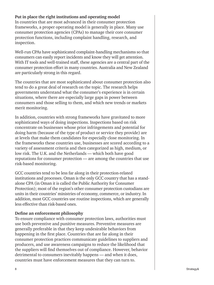#### **Put in place the right institutions and operating model**

In countries that are most advanced in their consumer protection frameworks, a proper operating model is generally in place. Many use consumer protection agencies (CPAs) to manage their core consumer protection functions, including complaint handling, research, and inspection.

Well-run CPAs have sophisticated complaint-handling mechanisms so that consumers can easily report incidents and know they will get attention. With IT tools and well-trained staff, these agencies are a central part of the consumer protection effort in many countries. Australia and New Zealand are particularly strong in this regard.

The countries that are most sophisticated about consumer protection also tend to do a great deal of research on the topic. The research helps governments understand what the consumer's experience is in certain situations, where there are especially large gaps in power between consumers and those selling to them, and which new trends or markets merit monitoring.

In addition, countries with strong frameworks have gravitated to more sophisticated ways of doing inspections. Inspections based on risk concentrate on businesses whose prior infringements and potential for doing harm (because of the type of product or service they provide) are at levels that make them candidates for especially close monitoring. In the frameworks these countries use, businesses are scored according to a variety of assessment criteria and then categorized as high, medium, or low risk. The U.K. and the Netherlands — which both have good reputations for consumer protection — are among the countries that use risk-based monitoring.

GCC countries tend to be less far along in their protection-related institutions and processes. Oman is the only GCC country that has a standalone CPA (in Oman it is called the Public Authority for Consumer Protection); most of the region's other consumer protection custodians are units in their countries' ministries of economy, commerce, or industry. In addition, most GCC countries use routine inspections, which are generally less effective than risk-based ones.

### **Define an enforcement philosophy**

To ensure compliance with consumer protection laws, authorities must use both preventive and punitive measures. Preventive measures are generally preferable in that they keep undesirable behaviors from happening in the first place. Countries that are far along in their consumer protection practices communicate guidelines to suppliers and producers, and use awareness campaigns to reduce the likelihood that the suppliers will find themselves out of compliance. However, behavior detrimental to consumers inevitably happens — and when it does, countries must have enforcement measures that they can turn to.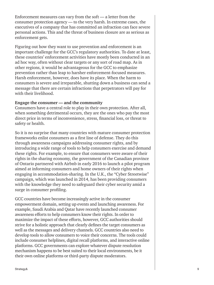Enforcement measures can vary from the soft  $-$  a letter from the consumer protection agency — to the very harsh. In extreme cases, the executives of a company that has committed an infraction can face severe personal actions. This and the threat of business closure are as serious as enforcement gets.

Figuring out how they want to use prevention and enforcement is an important challenge for the GCC's regulatory authorities. To date at least, these countries' enforcement activities have mostly been conducted in an ad hoc way, often without clear targets or any sort of road map. As in other regions, it would be advantageous for the GCC to emphasize prevention rather than leap to harsher enforcement-focused measures. Harsh enforcement, however, does have its place. When the harm to consumers is severe and irreparable, shutting down a business can send a message that there are certain infractions that perpetrators will pay for with their livelihood.

#### **Engage the consumer — and the community**

Consumers have a central role to play in their own protection. After all, when something detrimental occurs, they are the ones who pay the most direct price in terms of inconvenience, stress, financial loss, or threat to safety or health.

So it is no surprise that many countries with mature consumer protection frameworks enlist consumers as a first line of defense. They do this through awareness campaigns addressing consumer rights, and by introducing a wide range of tools to help consumers exercise and demand these rights. For example, to ensure that consumers were aware of their rights in the sharing economy, the government of the Canadian province of Ontario partnered with Airbnb in early 2016 to launch a pilot program aimed at informing consumers and home owners of their rights when engaging in accommodation-sharing. In the U.K., the "Cyber Streetwise" campaign, which was launched in 2014, has been providing consumers with the knowledge they need to safeguard their cyber security amid a surge in consumer profiling.

GCC countries have become increasingly active in the consumer empowerment domain, setting up events and launching awareness. For example, Saudi Arabia and Qatar have recently launched consumer awareness efforts to help consumers know their rights. In order to maximize the impact of these efforts, however, GCC authorities should strive for a holistic approach that clearly defines the target consumers as well as the messages and delivery channels. GCC countries also need to develop tools to allow consumers to voice their concerns. The tools could include consumer helplines, digital recall platforms, and interactive online platforms. GCC governments can explore whatever dispute resolution mechanism happens to be best suited to their local environments, be it their own online platforms or third-party dispute moderators.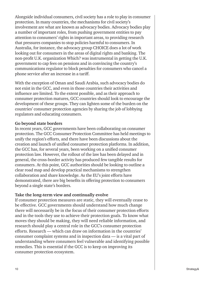Alongside individual consumers, civil society has a role to play in consumer protection. In many countries, the mechanisms for civil society's involvement are what are known as advocacy bodies. Advocacy bodies play a number of important roles, from pushing government entities to pay attention to consumers' rights in important areas, to providing research that pressures companies to stop policies harmful to consumers. In Australia, for instance, the advocacy group CHOICE does a lot of work looking out for consumers in the areas of digital rights and banking. The non-profit U.K. organization Which? was instrumental in getting the U.K. government to cap fees on pensions and in convincing the country's communications regulator to block penalties for consumers who cancel a phone service after an increase in a tariff.

With the exception of Oman and Saudi Arabia, such advocacy bodies do not exist in the GCC, and even in those countries their activities and influence are limited. To the extent possible, and as their approach to consumer protection matures, GCC countries should look to encourage the development of these groups. They can lighten some of the burden on the countries' consumer protection agencies by sharing the job of lobbying regulators and educating consumers.

#### **Go beyond state borders**

In recent years, GCC governments have been collaborating on consumer protection. The GCC Consumer Protection Committee has held meetings to unify the region's efforts, and there have been discussions about the creation and launch of unified consumer protection platforms. In addition, the GCC has, for several years, been working on a unified consumer protection law. However, the rollout of the law has been delayed and in general, the cross-border activity has produced few tangible results for consumers. At this point, GCC authorities should be looking to outline a clear road map and develop practical mechanisms to strengthen collaboration and share knowledge. As the EU's joint efforts have demonstrated, there are big benefits in offering protection to consumers beyond a single state's borders.

#### **Take the long-term view and continually evolve**

If consumer protection measures are static, they will eventually cease to be effective. GCC governments should understand how much change there will necessarily be in the focus of their consumer protection efforts and in the tools they use to achieve their protection goals. To know what moves they should be making, they will need reliable information, and research should play a central role in the GCC's consumer protection efforts. Research — which can draw on information in the countries' consumer complaint systems and in inspection data — is a vital part of understanding where consumers feel vulnerable and identifying possible remedies. This is essential if the GCC is to keep on improving its consumer protection ecosystem.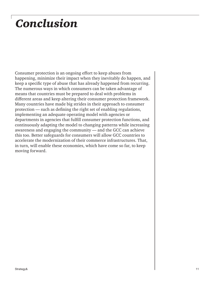### *Conclusion*

Consumer protection is an ongoing effort to keep abuses from happening, minimize their impact when they inevitably do happen, and keep a specific type of abuse that has already happened from recurring. The numerous ways in which consumers can be taken advantage of means that countries must be prepared to deal with problems in different areas and keep altering their consumer protection framework. Many countries have made big strides in their approach to consumer protection — such as defining the right set of enabling regulations, implementing an adequate operating model with agencies or departments in agencies that fulfill consumer protection functions, and continuously adapting the model to changing patterns while increasing awareness and engaging the community — and the GCC can achieve this too. Better safeguards for consumers will allow GCC countries to accelerate the modernization of their commerce infrastructures. That, in turn, will enable these economies, which have come so far, to keep moving forward.